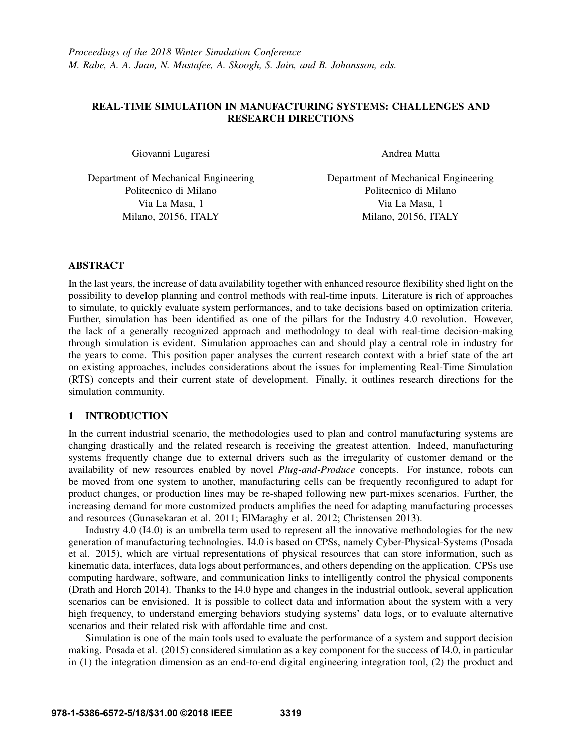# REAL-TIME SIMULATION IN MANUFACTURING SYSTEMS: CHALLENGES AND RESEARCH DIRECTIONS

Giovanni Lugaresi

Department of Mechanical Engineering Politecnico di Milano Via La Masa, 1 Milano, 20156, ITALY

Andrea Matta

Department of Mechanical Engineering Politecnico di Milano Via La Masa, 1 Milano, 20156, ITALY

## ABSTRACT

In the last years, the increase of data availability together with enhanced resource flexibility shed light on the possibility to develop planning and control methods with real-time inputs. Literature is rich of approaches to simulate, to quickly evaluate system performances, and to take decisions based on optimization criteria. Further, simulation has been identified as one of the pillars for the Industry 4.0 revolution. However, the lack of a generally recognized approach and methodology to deal with real-time decision-making through simulation is evident. Simulation approaches can and should play a central role in industry for the years to come. This position paper analyses the current research context with a brief state of the art on existing approaches, includes considerations about the issues for implementing Real-Time Simulation (RTS) concepts and their current state of development. Finally, it outlines research directions for the simulation community.

# 1 INTRODUCTION

In the current industrial scenario, the methodologies used to plan and control manufacturing systems are changing drastically and the related research is receiving the greatest attention. Indeed, manufacturing systems frequently change due to external drivers such as the irregularity of customer demand or the availability of new resources enabled by novel *Plug-and-Produce* concepts. For instance, robots can be moved from one system to another, manufacturing cells can be frequently reconfigured to adapt for product changes, or production lines may be re-shaped following new part-mixes scenarios. Further, the increasing demand for more customized products amplifies the need for adapting manufacturing processes and resources (Gunasekaran et al. 2011; ElMaraghy et al. 2012; Christensen 2013).

Industry 4.0 (I4.0) is an umbrella term used to represent all the innovative methodologies for the new generation of manufacturing technologies. I4.0 is based on CPSs, namely Cyber-Physical-Systems (Posada et al. 2015), which are virtual representations of physical resources that can store information, such as kinematic data, interfaces, data logs about performances, and others depending on the application. CPSs use computing hardware, software, and communication links to intelligently control the physical components (Drath and Horch 2014). Thanks to the I4.0 hype and changes in the industrial outlook, several application scenarios can be envisioned. It is possible to collect data and information about the system with a very high frequency, to understand emerging behaviors studying systems' data logs, or to evaluate alternative scenarios and their related risk with affordable time and cost.

Simulation is one of the main tools used to evaluate the performance of a system and support decision making. Posada et al. (2015) considered simulation as a key component for the success of I4.0, in particular in (1) the integration dimension as an end-to-end digital engineering integration tool, (2) the product and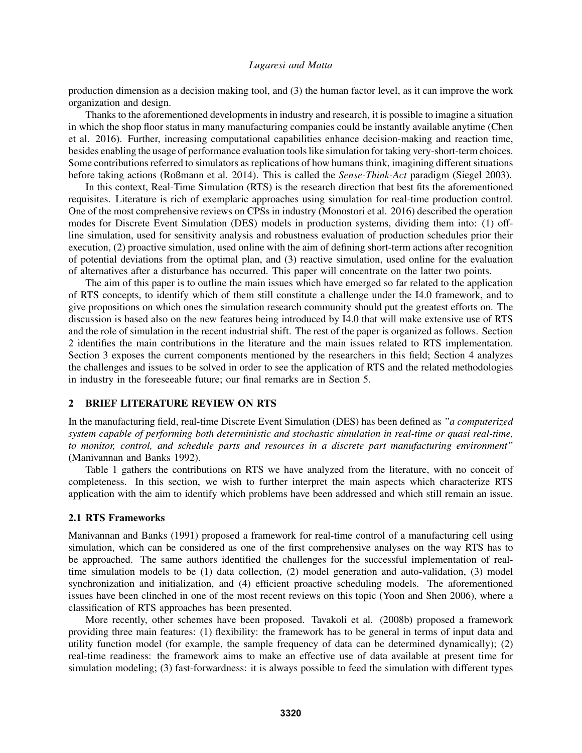production dimension as a decision making tool, and (3) the human factor level, as it can improve the work organization and design.

Thanks to the aforementioned developments in industry and research, it is possible to imagine a situation in which the shop floor status in many manufacturing companies could be instantly available anytime (Chen et al. 2016). Further, increasing computational capabilities enhance decision-making and reaction time, besides enabling the usage of performance evaluation tools like simulation for taking very-short-term choices. Some contributions referred to simulators as replications of how humans think, imagining different situations before taking actions (Roßmann et al. 2014). This is called the *Sense-Think-Act* paradigm (Siegel 2003).

In this context, Real-Time Simulation (RTS) is the research direction that best fits the aforementioned requisites. Literature is rich of exemplaric approaches using simulation for real-time production control. One of the most comprehensive reviews on CPSs in industry (Monostori et al. 2016) described the operation modes for Discrete Event Simulation (DES) models in production systems, dividing them into: (1) offline simulation, used for sensitivity analysis and robustness evaluation of production schedules prior their execution, (2) proactive simulation, used online with the aim of defining short-term actions after recognition of potential deviations from the optimal plan, and (3) reactive simulation, used online for the evaluation of alternatives after a disturbance has occurred. This paper will concentrate on the latter two points.

The aim of this paper is to outline the main issues which have emerged so far related to the application of RTS concepts, to identify which of them still constitute a challenge under the I4.0 framework, and to give propositions on which ones the simulation research community should put the greatest efforts on. The discussion is based also on the new features being introduced by I4.0 that will make extensive use of RTS and the role of simulation in the recent industrial shift. The rest of the paper is organized as follows. Section 2 identifies the main contributions in the literature and the main issues related to RTS implementation. Section 3 exposes the current components mentioned by the researchers in this field; Section 4 analyzes the challenges and issues to be solved in order to see the application of RTS and the related methodologies in industry in the foreseeable future; our final remarks are in Section 5.

### 2 BRIEF LITERATURE REVIEW ON RTS

In the manufacturing field, real-time Discrete Event Simulation (DES) has been defined as *"a computerized system capable of performing both deterministic and stochastic simulation in real-time or quasi real-time, to monitor, control, and schedule parts and resources in a discrete part manufacturing environment"* (Manivannan and Banks 1992).

Table 1 gathers the contributions on RTS we have analyzed from the literature, with no conceit of completeness. In this section, we wish to further interpret the main aspects which characterize RTS application with the aim to identify which problems have been addressed and which still remain an issue.

#### 2.1 RTS Frameworks

Manivannan and Banks (1991) proposed a framework for real-time control of a manufacturing cell using simulation, which can be considered as one of the first comprehensive analyses on the way RTS has to be approached. The same authors identified the challenges for the successful implementation of realtime simulation models to be (1) data collection, (2) model generation and auto-validation, (3) model synchronization and initialization, and (4) efficient proactive scheduling models. The aforementioned issues have been clinched in one of the most recent reviews on this topic (Yoon and Shen 2006), where a classification of RTS approaches has been presented.

More recently, other schemes have been proposed. Tavakoli et al. (2008b) proposed a framework providing three main features: (1) flexibility: the framework has to be general in terms of input data and utility function model (for example, the sample frequency of data can be determined dynamically); (2) real-time readiness: the framework aims to make an effective use of data available at present time for simulation modeling; (3) fast-forwardness: it is always possible to feed the simulation with different types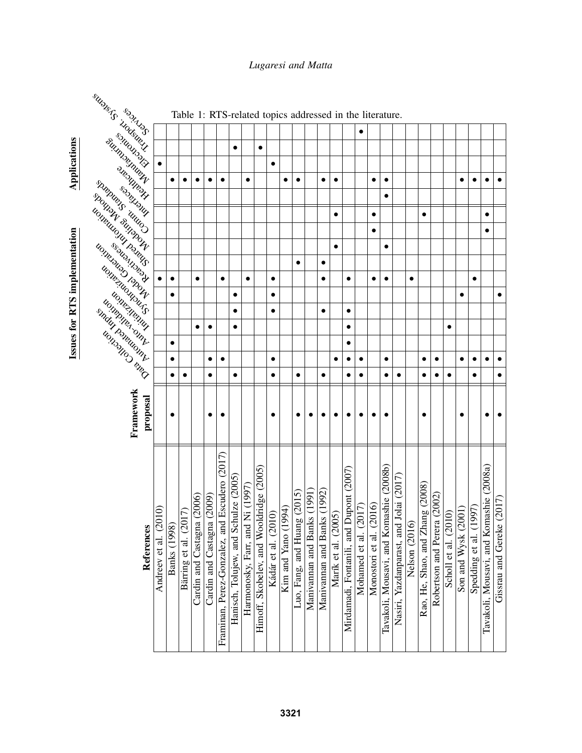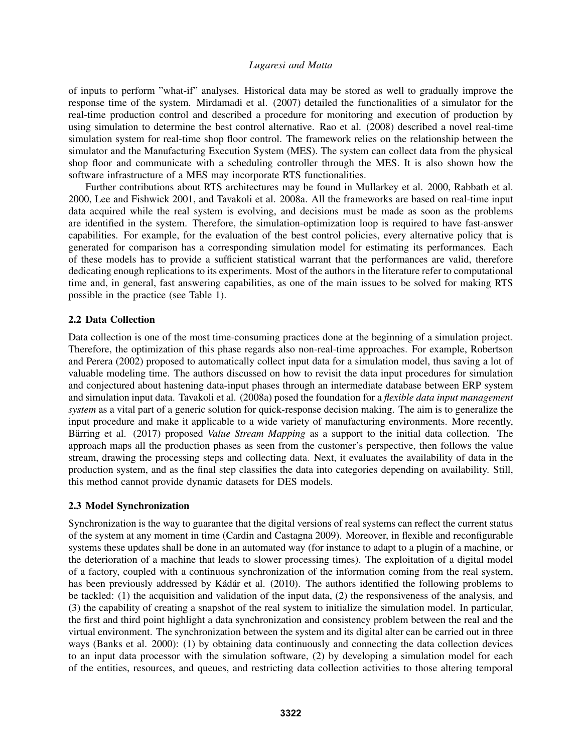of inputs to perform "what-if" analyses. Historical data may be stored as well to gradually improve the response time of the system. Mirdamadi et al. (2007) detailed the functionalities of a simulator for the real-time production control and described a procedure for monitoring and execution of production by using simulation to determine the best control alternative. Rao et al. (2008) described a novel real-time simulation system for real-time shop floor control. The framework relies on the relationship between the simulator and the Manufacturing Execution System (MES). The system can collect data from the physical shop floor and communicate with a scheduling controller through the MES. It is also shown how the software infrastructure of a MES may incorporate RTS functionalities.

Further contributions about RTS architectures may be found in Mullarkey et al. 2000, Rabbath et al. 2000, Lee and Fishwick 2001, and Tavakoli et al. 2008a. All the frameworks are based on real-time input data acquired while the real system is evolving, and decisions must be made as soon as the problems are identified in the system. Therefore, the simulation-optimization loop is required to have fast-answer capabilities. For example, for the evaluation of the best control policies, every alternative policy that is generated for comparison has a corresponding simulation model for estimating its performances. Each of these models has to provide a sufficient statistical warrant that the performances are valid, therefore dedicating enough replications to its experiments. Most of the authors in the literature refer to computational time and, in general, fast answering capabilities, as one of the main issues to be solved for making RTS possible in the practice (see Table 1).

## 2.2 Data Collection

Data collection is one of the most time-consuming practices done at the beginning of a simulation project. Therefore, the optimization of this phase regards also non-real-time approaches. For example, Robertson and Perera (2002) proposed to automatically collect input data for a simulation model, thus saving a lot of valuable modeling time. The authors discussed on how to revisit the data input procedures for simulation and conjectured about hastening data-input phases through an intermediate database between ERP system and simulation input data. Tavakoli et al. (2008a) posed the foundation for a *flexible data input management system* as a vital part of a generic solution for quick-response decision making. The aim is to generalize the input procedure and make it applicable to a wide variety of manufacturing environments. More recently, Barring et al. (2017) proposed *Value Stream Mapping* as a support to the initial data collection. The approach maps all the production phases as seen from the customer's perspective, then follows the value stream, drawing the processing steps and collecting data. Next, it evaluates the availability of data in the production system, and as the final step classifies the data into categories depending on availability. Still, this method cannot provide dynamic datasets for DES models.

#### 2.3 Model Synchronization

Synchronization is the way to guarantee that the digital versions of real systems can reflect the current status of the system at any moment in time (Cardin and Castagna 2009). Moreover, in flexible and reconfigurable systems these updates shall be done in an automated way (for instance to adapt to a plugin of a machine, or the deterioration of a machine that leads to slower processing times). The exploitation of a digital model of a factory, coupled with a continuous synchronization of the information coming from the real system, has been previously addressed by Kádár et al. (2010). The authors identified the following problems to be tackled: (1) the acquisition and validation of the input data, (2) the responsiveness of the analysis, and (3) the capability of creating a snapshot of the real system to initialize the simulation model. In particular, the first and third point highlight a data synchronization and consistency problem between the real and the virtual environment. The synchronization between the system and its digital alter can be carried out in three ways (Banks et al. 2000): (1) by obtaining data continuously and connecting the data collection devices to an input data processor with the simulation software, (2) by developing a simulation model for each of the entities, resources, and queues, and restricting data collection activities to those altering temporal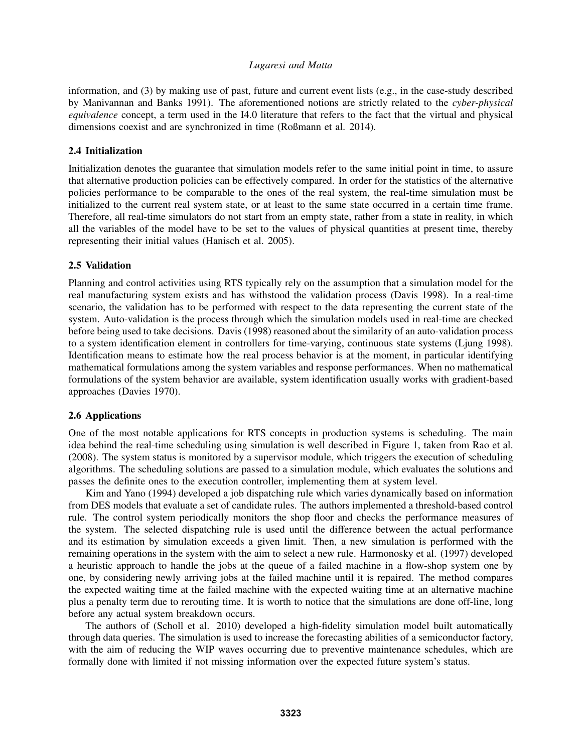information, and (3) by making use of past, future and current event lists (e.g., in the case-study described by Manivannan and Banks 1991). The aforementioned notions are strictly related to the *cyber-physical equivalence* concept, a term used in the I4.0 literature that refers to the fact that the virtual and physical dimensions coexist and are synchronized in time (Roßmann et al. 2014).

# 2.4 Initialization

Initialization denotes the guarantee that simulation models refer to the same initial point in time, to assure that alternative production policies can be effectively compared. In order for the statistics of the alternative policies performance to be comparable to the ones of the real system, the real-time simulation must be initialized to the current real system state, or at least to the same state occurred in a certain time frame. Therefore, all real-time simulators do not start from an empty state, rather from a state in reality, in which all the variables of the model have to be set to the values of physical quantities at present time, thereby representing their initial values (Hanisch et al. 2005).

#### 2.5 Validation

Planning and control activities using RTS typically rely on the assumption that a simulation model for the real manufacturing system exists and has withstood the validation process (Davis 1998). In a real-time scenario, the validation has to be performed with respect to the data representing the current state of the system. Auto-validation is the process through which the simulation models used in real-time are checked before being used to take decisions. Davis (1998) reasoned about the similarity of an auto-validation process to a system identification element in controllers for time-varying, continuous state systems (Ljung 1998). Identification means to estimate how the real process behavior is at the moment, in particular identifying mathematical formulations among the system variables and response performances. When no mathematical formulations of the system behavior are available, system identification usually works with gradient-based approaches (Davies 1970).

## 2.6 Applications

One of the most notable applications for RTS concepts in production systems is scheduling. The main idea behind the real-time scheduling using simulation is well described in Figure 1, taken from Rao et al. (2008). The system status is monitored by a supervisor module, which triggers the execution of scheduling algorithms. The scheduling solutions are passed to a simulation module, which evaluates the solutions and passes the definite ones to the execution controller, implementing them at system level.

Kim and Yano (1994) developed a job dispatching rule which varies dynamically based on information from DES models that evaluate a set of candidate rules. The authors implemented a threshold-based control rule. The control system periodically monitors the shop floor and checks the performance measures of the system. The selected dispatching rule is used until the difference between the actual performance and its estimation by simulation exceeds a given limit. Then, a new simulation is performed with the remaining operations in the system with the aim to select a new rule. Harmonosky et al. (1997) developed a heuristic approach to handle the jobs at the queue of a failed machine in a flow-shop system one by one, by considering newly arriving jobs at the failed machine until it is repaired. The method compares the expected waiting time at the failed machine with the expected waiting time at an alternative machine plus a penalty term due to rerouting time. It is worth to notice that the simulations are done off-line, long before any actual system breakdown occurs.

The authors of (Scholl et al. 2010) developed a high-fidelity simulation model built automatically through data queries. The simulation is used to increase the forecasting abilities of a semiconductor factory, with the aim of reducing the WIP waves occurring due to preventive maintenance schedules, which are formally done with limited if not missing information over the expected future system's status.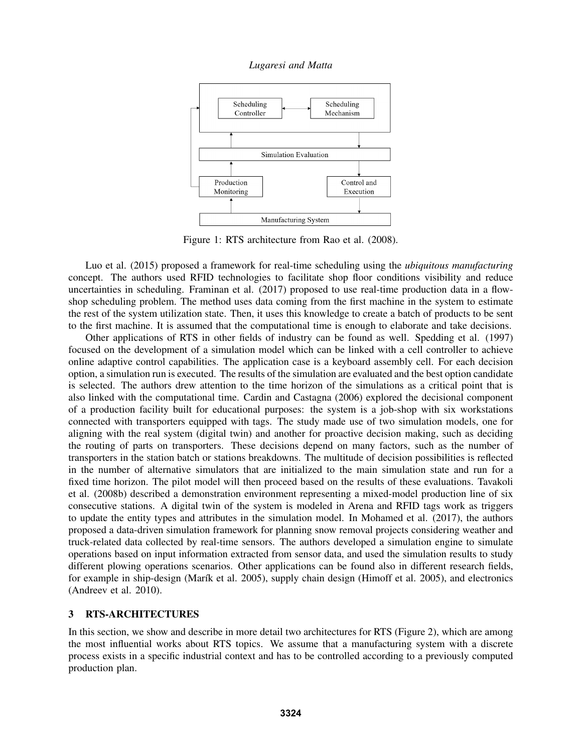*Lugaresi and Matta*



Figure 1: RTS architecture from Rao et al. (2008).

Luo et al. (2015) proposed a framework for real-time scheduling using the *ubiquitous manufacturing* concept. The authors used RFID technologies to facilitate shop floor conditions visibility and reduce uncertainties in scheduling. Framinan et al. (2017) proposed to use real-time production data in a flowshop scheduling problem. The method uses data coming from the first machine in the system to estimate the rest of the system utilization state. Then, it uses this knowledge to create a batch of products to be sent to the first machine. It is assumed that the computational time is enough to elaborate and take decisions.

Other applications of RTS in other fields of industry can be found as well. Spedding et al. (1997) focused on the development of a simulation model which can be linked with a cell controller to achieve online adaptive control capabilities. The application case is a keyboard assembly cell. For each decision option, a simulation run is executed. The results of the simulation are evaluated and the best option candidate is selected. The authors drew attention to the time horizon of the simulations as a critical point that is also linked with the computational time. Cardin and Castagna (2006) explored the decisional component of a production facility built for educational purposes: the system is a job-shop with six workstations connected with transporters equipped with tags. The study made use of two simulation models, one for aligning with the real system (digital twin) and another for proactive decision making, such as deciding the routing of parts on transporters. These decisions depend on many factors, such as the number of transporters in the station batch or stations breakdowns. The multitude of decision possibilities is reflected in the number of alternative simulators that are initialized to the main simulation state and run for a fixed time horizon. The pilot model will then proceed based on the results of these evaluations. Tavakoli et al. (2008b) described a demonstration environment representing a mixed-model production line of six consecutive stations. A digital twin of the system is modeled in Arena and RFID tags work as triggers to update the entity types and attributes in the simulation model. In Mohamed et al. (2017), the authors proposed a data-driven simulation framework for planning snow removal projects considering weather and truck-related data collected by real-time sensors. The authors developed a simulation engine to simulate operations based on input information extracted from sensor data, and used the simulation results to study different plowing operations scenarios. Other applications can be found also in different research fields, for example in ship-design (Marík et al. 2005), supply chain design (Himoff et al. 2005), and electronics (Andreev et al. 2010).

## 3 RTS-ARCHITECTURES

In this section, we show and describe in more detail two architectures for RTS (Figure 2), which are among the most influential works about RTS topics. We assume that a manufacturing system with a discrete process exists in a specific industrial context and has to be controlled according to a previously computed production plan.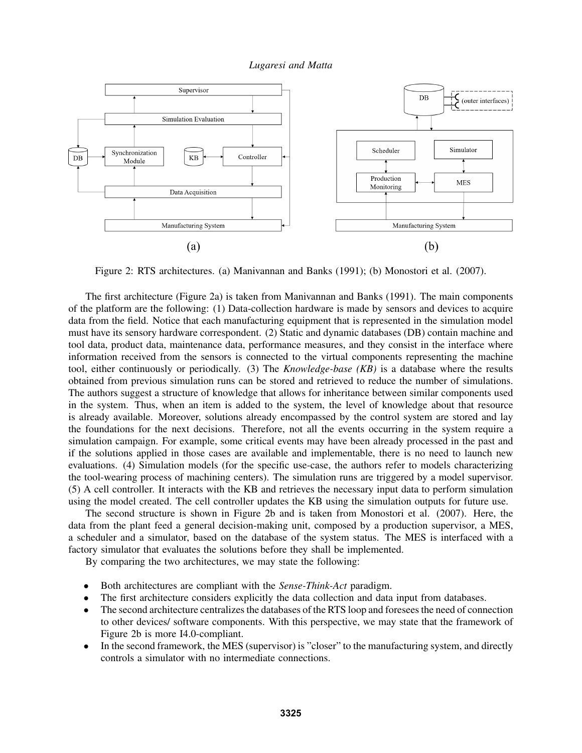

Figure 2: RTS architectures. (a) Manivannan and Banks (1991); (b) Monostori et al. (2007).

The first architecture (Figure 2a) is taken from Manivannan and Banks (1991). The main components of the platform are the following: (1) Data-collection hardware is made by sensors and devices to acquire data from the field. Notice that each manufacturing equipment that is represented in the simulation model must have its sensory hardware correspondent. (2) Static and dynamic databases (DB) contain machine and tool data, product data, maintenance data, performance measures, and they consist in the interface where information received from the sensors is connected to the virtual components representing the machine tool, either continuously or periodically. (3) The *Knowledge-base (KB)* is a database where the results obtained from previous simulation runs can be stored and retrieved to reduce the number of simulations. The authors suggest a structure of knowledge that allows for inheritance between similar components used in the system. Thus, when an item is added to the system, the level of knowledge about that resource is already available. Moreover, solutions already encompassed by the control system are stored and lay the foundations for the next decisions. Therefore, not all the events occurring in the system require a simulation campaign. For example, some critical events may have been already processed in the past and if the solutions applied in those cases are available and implementable, there is no need to launch new evaluations. (4) Simulation models (for the specific use-case, the authors refer to models characterizing the tool-wearing process of machining centers). The simulation runs are triggered by a model supervisor. (5) A cell controller. It interacts with the KB and retrieves the necessary input data to perform simulation using the model created. The cell controller updates the KB using the simulation outputs for future use.

The second structure is shown in Figure 2b and is taken from Monostori et al. (2007). Here, the data from the plant feed a general decision-making unit, composed by a production supervisor, a MES, a scheduler and a simulator, based on the database of the system status. The MES is interfaced with a factory simulator that evaluates the solutions before they shall be implemented.

By comparing the two architectures, we may state the following:

- Both architectures are compliant with the *Sense-Think-Act* paradigm.
- The first architecture considers explicitly the data collection and data input from databases.
- The second architecture centralizes the databases of the RTS loop and foresees the need of connection to other devices/ software components. With this perspective, we may state that the framework of Figure 2b is more I4.0-compliant.
- In the second framework, the MES (supervisor) is "closer" to the manufacturing system, and directly controls a simulator with no intermediate connections.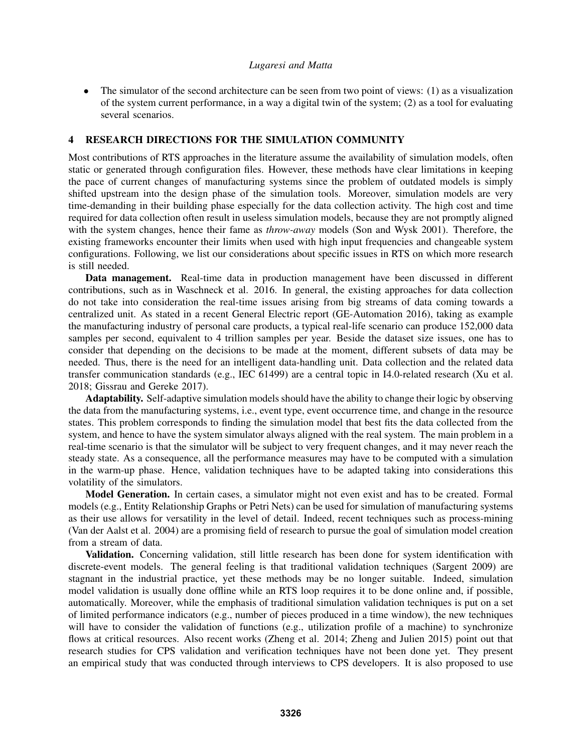The simulator of the second architecture can be seen from two point of views: (1) as a visualization of the system current performance, in a way a digital twin of the system; (2) as a tool for evaluating several scenarios.

## 4 RESEARCH DIRECTIONS FOR THE SIMULATION COMMUNITY

Most contributions of RTS approaches in the literature assume the availability of simulation models, often static or generated through configuration files. However, these methods have clear limitations in keeping the pace of current changes of manufacturing systems since the problem of outdated models is simply shifted upstream into the design phase of the simulation tools. Moreover, simulation models are very time-demanding in their building phase especially for the data collection activity. The high cost and time required for data collection often result in useless simulation models, because they are not promptly aligned with the system changes, hence their fame as *throw-away* models (Son and Wysk 2001). Therefore, the existing frameworks encounter their limits when used with high input frequencies and changeable system configurations. Following, we list our considerations about specific issues in RTS on which more research is still needed.

Data management. Real-time data in production management have been discussed in different contributions, such as in Waschneck et al. 2016. In general, the existing approaches for data collection do not take into consideration the real-time issues arising from big streams of data coming towards a centralized unit. As stated in a recent General Electric report (GE-Automation 2016), taking as example the manufacturing industry of personal care products, a typical real-life scenario can produce 152,000 data samples per second, equivalent to 4 trillion samples per year. Beside the dataset size issues, one has to consider that depending on the decisions to be made at the moment, different subsets of data may be needed. Thus, there is the need for an intelligent data-handling unit. Data collection and the related data transfer communication standards (e.g., IEC 61499) are a central topic in I4.0-related research (Xu et al. 2018; Gissrau and Gereke 2017).

Adaptability. Self-adaptive simulation models should have the ability to change their logic by observing the data from the manufacturing systems, i.e., event type, event occurrence time, and change in the resource states. This problem corresponds to finding the simulation model that best fits the data collected from the system, and hence to have the system simulator always aligned with the real system. The main problem in a real-time scenario is that the simulator will be subject to very frequent changes, and it may never reach the steady state. As a consequence, all the performance measures may have to be computed with a simulation in the warm-up phase. Hence, validation techniques have to be adapted taking into considerations this volatility of the simulators.

Model Generation. In certain cases, a simulator might not even exist and has to be created. Formal models (e.g., Entity Relationship Graphs or Petri Nets) can be used for simulation of manufacturing systems as their use allows for versatility in the level of detail. Indeed, recent techniques such as process-mining (Van der Aalst et al. 2004) are a promising field of research to pursue the goal of simulation model creation from a stream of data.

Validation. Concerning validation, still little research has been done for system identification with discrete-event models. The general feeling is that traditional validation techniques (Sargent 2009) are stagnant in the industrial practice, yet these methods may be no longer suitable. Indeed, simulation model validation is usually done offline while an RTS loop requires it to be done online and, if possible, automatically. Moreover, while the emphasis of traditional simulation validation techniques is put on a set of limited performance indicators (e.g., number of pieces produced in a time window), the new techniques will have to consider the validation of functions (e.g., utilization profile of a machine) to synchronize flows at critical resources. Also recent works (Zheng et al. 2014; Zheng and Julien 2015) point out that research studies for CPS validation and verification techniques have not been done yet. They present an empirical study that was conducted through interviews to CPS developers. It is also proposed to use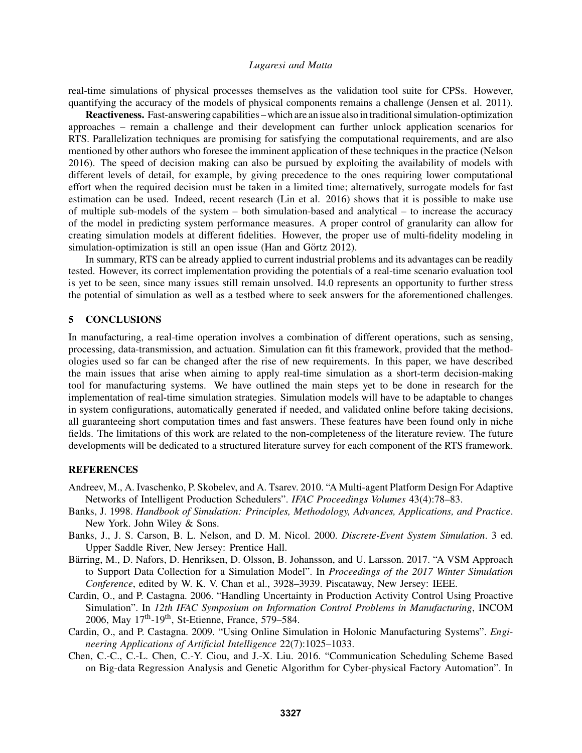real-time simulations of physical processes themselves as the validation tool suite for CPSs. However, quantifying the accuracy of the models of physical components remains a challenge (Jensen et al. 2011).

Reactiveness. Fast-answering capabilities – which are an issue also intraditional simulation-optimization approaches – remain a challenge and their development can further unlock application scenarios for RTS. Parallelization techniques are promising for satisfying the computational requirements, and are also mentioned by other authors who foresee the imminent application of these techniques in the practice (Nelson 2016). The speed of decision making can also be pursued by exploiting the availability of models with different levels of detail, for example, by giving precedence to the ones requiring lower computational effort when the required decision must be taken in a limited time; alternatively, surrogate models for fast estimation can be used. Indeed, recent research (Lin et al. 2016) shows that it is possible to make use of multiple sub-models of the system – both simulation-based and analytical – to increase the accuracy of the model in predicting system performance measures. A proper control of granularity can allow for creating simulation models at different fidelities. However, the proper use of multi-fidelity modeling in simulation-optimization is still an open issue (Han and Görtz  $2012$ ).

In summary, RTS can be already applied to current industrial problems and its advantages can be readily tested. However, its correct implementation providing the potentials of a real-time scenario evaluation tool is yet to be seen, since many issues still remain unsolved. I4.0 represents an opportunity to further stress the potential of simulation as well as a testbed where to seek answers for the aforementioned challenges.

## 5 CONCLUSIONS

In manufacturing, a real-time operation involves a combination of different operations, such as sensing, processing, data-transmission, and actuation. Simulation can fit this framework, provided that the methodologies used so far can be changed after the rise of new requirements. In this paper, we have described the main issues that arise when aiming to apply real-time simulation as a short-term decision-making tool for manufacturing systems. We have outlined the main steps yet to be done in research for the implementation of real-time simulation strategies. Simulation models will have to be adaptable to changes in system configurations, automatically generated if needed, and validated online before taking decisions, all guaranteeing short computation times and fast answers. These features have been found only in niche fields. The limitations of this work are related to the non-completeness of the literature review. The future developments will be dedicated to a structured literature survey for each component of the RTS framework.

#### **REFERENCES**

- Andreev, M., A. Ivaschenko, P. Skobelev, and A. Tsarev. 2010. "A Multi-agent Platform Design For Adaptive Networks of Intelligent Production Schedulers". *IFAC Proceedings Volumes* 43(4):78–83.
- Banks, J. 1998. *Handbook of Simulation: Principles, Methodology, Advances, Applications, and Practice*. New York. John Wiley & Sons.
- Banks, J., J. S. Carson, B. L. Nelson, and D. M. Nicol. 2000. *Discrete-Event System Simulation*. 3 ed. Upper Saddle River, New Jersey: Prentice Hall.
- Bärring, M., D. Nafors, D. Henriksen, D. Olsson, B. Johansson, and U. Larsson. 2017. "A VSM Approach to Support Data Collection for a Simulation Model". In *Proceedings of the 2017 Winter Simulation Conference*, edited by W. K. V. Chan et al., 3928–3939. Piscataway, New Jersey: IEEE.
- Cardin, O., and P. Castagna. 2006. "Handling Uncertainty in Production Activity Control Using Proactive Simulation". In *12th IFAC Symposium on Information Control Problems in Manufacturing*, INCOM 2006, May 17th-19th, St-Etienne, France, 579–584.
- Cardin, O., and P. Castagna. 2009. "Using Online Simulation in Holonic Manufacturing Systems". *Engineering Applications of Artificial Intelligence* 22(7):1025–1033.
- Chen, C.-C., C.-L. Chen, C.-Y. Ciou, and J.-X. Liu. 2016. "Communication Scheduling Scheme Based on Big-data Regression Analysis and Genetic Algorithm for Cyber-physical Factory Automation". In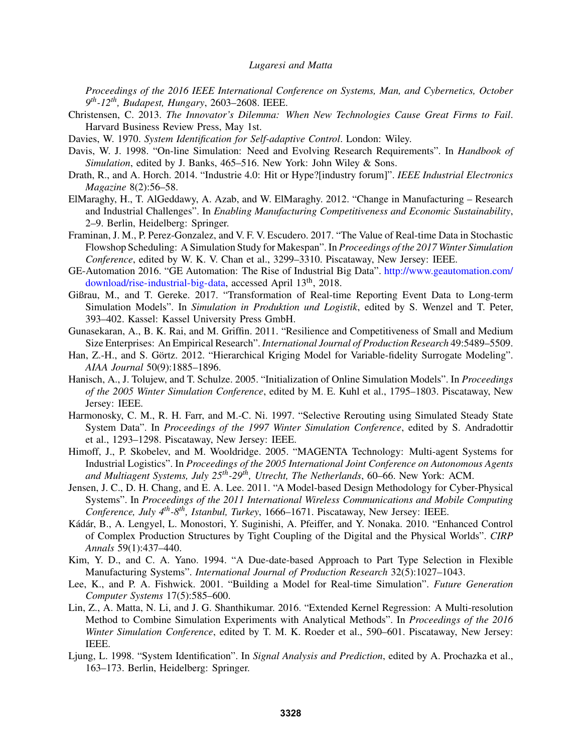*Proceedings of the 2016 IEEE International Conference on Systems, Man, and Cybernetics, October 9 th-12th, Budapest, Hungary*, 2603–2608. IEEE.

- Christensen, C. 2013. *The Innovator's Dilemma: When New Technologies Cause Great Firms to Fail*. Harvard Business Review Press, May 1st.
- Davies, W. 1970. *System Identification for Self-adaptive Control*. London: Wiley.
- Davis, W. J. 1998. "On-line Simulation: Need and Evolving Research Requirements". In *Handbook of Simulation*, edited by J. Banks, 465–516. New York: John Wiley & Sons.
- Drath, R., and A. Horch. 2014. "Industrie 4.0: Hit or Hype?[industry forum]". *IEEE Industrial Electronics Magazine* 8(2):56–58.
- ElMaraghy, H., T. AlGeddawy, A. Azab, and W. ElMaraghy. 2012. "Change in Manufacturing Research and Industrial Challenges". In *Enabling Manufacturing Competitiveness and Economic Sustainability*, 2–9. Berlin, Heidelberg: Springer.
- Framinan, J. M., P. Perez-Gonzalez, and V. F. V. Escudero. 2017. "The Value of Real-time Data in Stochastic Flowshop Scheduling: A Simulation Study for Makespan". In *Proceedings of the 2017 Winter Simulation Conference*, edited by W. K. V. Chan et al., 3299–3310. Piscataway, New Jersey: IEEE.
- GE-Automation 2016. "GE Automation: The Rise of Industrial Big Data". http://www.geautomation.com/ download/rise-industrial-big-data, accessed April 13th, 2018.
- Gißrau, M., and T. Gereke. 2017. "Transformation of Real-time Reporting Event Data to Long-term Simulation Models". In *Simulation in Produktion und Logistik*, edited by S. Wenzel and T. Peter, 393–402. Kassel: Kassel University Press GmbH.
- Gunasekaran, A., B. K. Rai, and M. Griffin. 2011. "Resilience and Competitiveness of Small and Medium Size Enterprises: An Empirical Research". *International Journal of Production Research* 49:5489–5509.
- Han, Z.-H., and S. Görtz. 2012. "Hierarchical Kriging Model for Variable-fidelity Surrogate Modeling". *AIAA Journal* 50(9):1885–1896.
- Hanisch, A., J. Tolujew, and T. Schulze. 2005. "Initialization of Online Simulation Models". In *Proceedings of the 2005 Winter Simulation Conference*, edited by M. E. Kuhl et al., 1795–1803. Piscataway, New Jersey: IEEE.
- Harmonosky, C. M., R. H. Farr, and M.-C. Ni. 1997. "Selective Rerouting using Simulated Steady State System Data". In *Proceedings of the 1997 Winter Simulation Conference*, edited by S. Andradottir et al., 1293–1298. Piscataway, New Jersey: IEEE.
- Himoff, J., P. Skobelev, and M. Wooldridge. 2005. "MAGENTA Technology: Multi-agent Systems for Industrial Logistics". In *Proceedings of the 2005 International Joint Conference on Autonomous Agents and Multiagent Systems, July 25th-29th, Utrecht, The Netherlands*, 60–66. New York: ACM.
- Jensen, J. C., D. H. Chang, and E. A. Lee. 2011. "A Model-based Design Methodology for Cyber-Physical Systems". In *Proceedings of the 2011 International Wireless Communications and Mobile Computing Conference, July 4th-8th, Istanbul, Turkey*, 1666–1671. Piscataway, New Jersey: IEEE.
- Kádár, B., A. Lengyel, L. Monostori, Y. Suginishi, A. Pfeiffer, and Y. Nonaka. 2010. "Enhanced Control of Complex Production Structures by Tight Coupling of the Digital and the Physical Worlds". *CIRP Annals* 59(1):437–440.
- Kim, Y. D., and C. A. Yano. 1994. "A Due-date-based Approach to Part Type Selection in Flexible Manufacturing Systems". *International Journal of Production Research* 32(5):1027–1043.
- Lee, K., and P. A. Fishwick. 2001. "Building a Model for Real-time Simulation". *Future Generation Computer Systems* 17(5):585–600.
- Lin, Z., A. Matta, N. Li, and J. G. Shanthikumar. 2016. "Extended Kernel Regression: A Multi-resolution Method to Combine Simulation Experiments with Analytical Methods". In *Proceedings of the 2016 Winter Simulation Conference*, edited by T. M. K. Roeder et al., 590–601. Piscataway, New Jersey: IEEE.
- Ljung, L. 1998. "System Identification". In *Signal Analysis and Prediction*, edited by A. Prochazka et al., 163–173. Berlin, Heidelberg: Springer.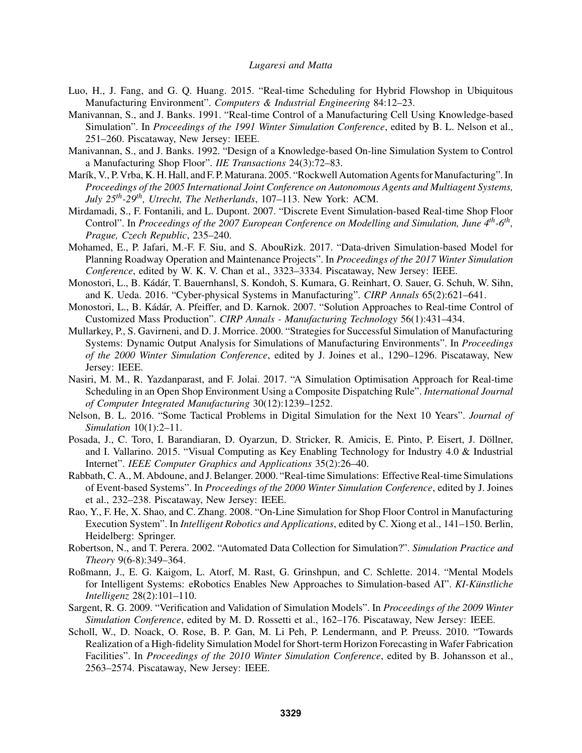- Luo, H., J. Fang, and G. Q. Huang. 2015. "Real-time Scheduling for Hybrid Flowshop in Ubiquitous Manufacturing Environment". *Computers & Industrial Engineering* 84:12–23.
- Manivannan, S., and J. Banks. 1991. "Real-time Control of a Manufacturing Cell Using Knowledge-based Simulation". In *Proceedings of the 1991 Winter Simulation Conference*, edited by B. L. Nelson et al., 251–260. Piscataway, New Jersey: IEEE.
- Manivannan, S., and J. Banks. 1992. "Design of a Knowledge-based On-line Simulation System to Control a Manufacturing Shop Floor". *IIE Transactions* 24(3):72–83.
- Marík, V., P. Vrba, K. H. Hall, and F. P. Maturana. 2005. "Rockwell Automation Agents for Manufacturing". In *Proceedings of the 2005 International Joint Conference on Autonomous Agents and Multiagent Systems, July 25th-29th, Utrecht, The Netherlands*, 107–113. New York: ACM.
- Mirdamadi, S., F. Fontanili, and L. Dupont. 2007. "Discrete Event Simulation-based Real-time Shop Floor Control". In *Proceedings of the 2007 European Conference on Modelling and Simulation, June 4th-6th , Prague, Czech Republic*, 235–240.
- Mohamed, E., P. Jafari, M.-F. F. Siu, and S. AbouRizk. 2017. "Data-driven Simulation-based Model for Planning Roadway Operation and Maintenance Projects". In *Proceedings of the 2017 Winter Simulation Conference*, edited by W. K. V. Chan et al., 3323–3334. Piscataway, New Jersey: IEEE.
- Monostori, L., B. Kádár, T. Bauernhansl, S. Kondoh, S. Kumara, G. Reinhart, O. Sauer, G. Schuh, W. Sihn, and K. Ueda. 2016. "Cyber-physical Systems in Manufacturing". *CIRP Annals* 65(2):621–641.
- Monostori, L., B. Kádár, A. Pfeiffer, and D. Karnok. 2007. "Solution Approaches to Real-time Control of Customized Mass Production". *CIRP Annals - Manufacturing Technology* 56(1):431–434.
- Mullarkey, P., S. Gavirneni, and D. J. Morrice. 2000. "Strategies for Successful Simulation of Manufacturing Systems: Dynamic Output Analysis for Simulations of Manufacturing Environments". In *Proceedings of the 2000 Winter Simulation Conference*, edited by J. Joines et al., 1290–1296. Piscataway, New Jersey: IEEE.
- Nasiri, M. M., R. Yazdanparast, and F. Jolai. 2017. "A Simulation Optimisation Approach for Real-time Scheduling in an Open Shop Environment Using a Composite Dispatching Rule". *International Journal of Computer Integrated Manufacturing* 30(12):1239–1252.
- Nelson, B. L. 2016. "Some Tactical Problems in Digital Simulation for the Next 10 Years". *Journal of Simulation* 10(1):2–11.
- Posada, J., C. Toro, I. Barandiaran, D. Oyarzun, D. Stricker, R. Amicis, E. Pinto, P. Eisert, J. Döllner, and I. Vallarino. 2015. "Visual Computing as Key Enabling Technology for Industry 4.0 & Industrial Internet". *IEEE Computer Graphics and Applications* 35(2):26–40.
- Rabbath, C. A., M. Abdoune, and J. Belanger. 2000. "Real-time Simulations: Effective Real-time Simulations of Event-based Systems". In *Proceedings of the 2000 Winter Simulation Conference*, edited by J. Joines et al., 232–238. Piscataway, New Jersey: IEEE.
- Rao, Y., F. He, X. Shao, and C. Zhang. 2008. "On-Line Simulation for Shop Floor Control in Manufacturing Execution System". In *Intelligent Robotics and Applications*, edited by C. Xiong et al., 141–150. Berlin, Heidelberg: Springer.
- Robertson, N., and T. Perera. 2002. "Automated Data Collection for Simulation?". *Simulation Practice and Theory* 9(6-8):349–364.
- Roßmann, J., E. G. Kaigom, L. Atorf, M. Rast, G. Grinshpun, and C. Schlette. 2014. "Mental Models for Intelligent Systems: eRobotics Enables New Approaches to Simulation-based AI". *KI-Kunstliche ¨ Intelligenz* 28(2):101–110.
- Sargent, R. G. 2009. "Verification and Validation of Simulation Models". In *Proceedings of the 2009 Winter Simulation Conference*, edited by M. D. Rossetti et al., 162–176. Piscataway, New Jersey: IEEE.
- Scholl, W., D. Noack, O. Rose, B. P. Gan, M. Li Peh, P. Lendermann, and P. Preuss. 2010. "Towards Realization of a High-fidelity Simulation Model for Short-term Horizon Forecasting in Wafer Fabrication Facilities". In *Proceedings of the 2010 Winter Simulation Conference*, edited by B. Johansson et al., 2563–2574. Piscataway, New Jersey: IEEE.